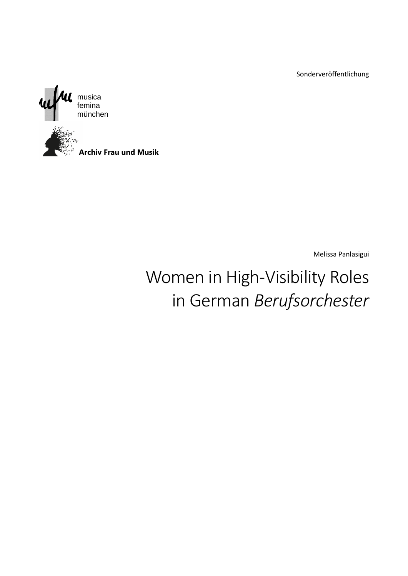Sonderveröffentlichung



Melissa Panlasigui

# Women in High-Visibility Roles in German *Berufsorchester*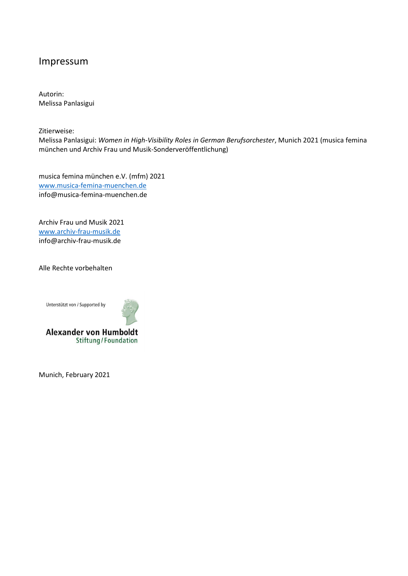### Impressum

Autorin: Melissa Panlasigui

Zitierweise: Melissa Panlasigui: *Women in High-Visibility Roles in German Berufsorchester*, Munich 2021 (musica femina münchen und Archiv Frau und Musik-Sonderveröffentlichung)

musica femina münchen e.V. (mfm) 2021 [www.musica-femina-muenchen.de](http://www.musica-femina-muenchen.de/) info@musica-femina-muenchen.de

Archiv Frau und Musik 2021 [www.archiv-frau-musik.de](http://www.archiv-frau-musik.de/) info@archiv-frau-musik.de

Alle Rechte vorbehalten

Unterstützt von / Supported by



**Alexander von Humboldt** Stiftung/Foundation

Munich, February 2021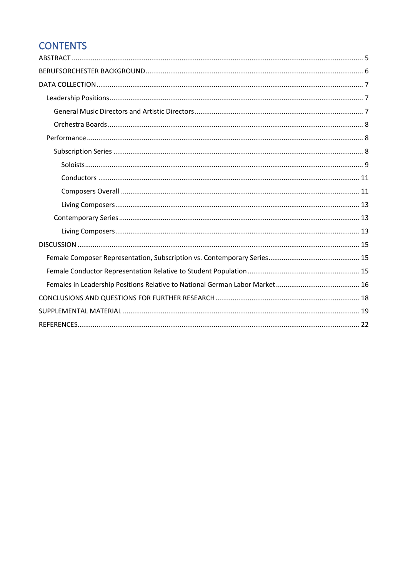# **CONTENTS**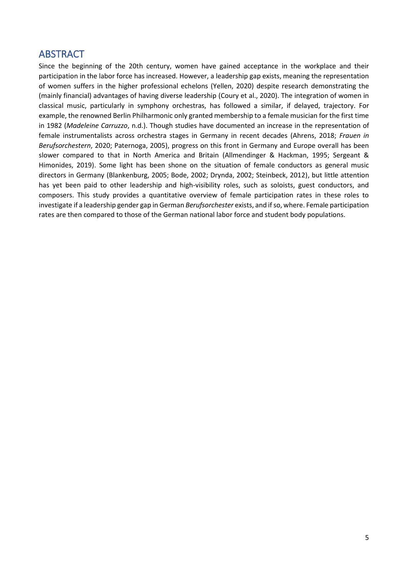### <span id="page-4-0"></span>ABSTRACT

Since the beginning of the 20th century, women have gained acceptance in the workplace and their participation in the labor force has increased. However, a leadership gap exists, meaning the representation of women suffers in the higher professional echelons (Yellen, 2020) despite research demonstrating the (mainly financial) advantages of having diverse leadership (Coury et al., 2020). The integration of women in classical music, particularly in symphony orchestras, has followed a similar, if delayed, trajectory. For example, the renowned Berlin Philharmonic only granted membership to a female musician for the first time in 1982 (*Madeleine Carruzzo*, n.d.). Though studies have documented an increase in the representation of female instrumentalists across orchestra stages in Germany in recent decades (Ahrens, 2018; *Frauen in Berufsorchestern*, 2020; Paternoga, 2005), progress on this front in Germany and Europe overall has been slower compared to that in North America and Britain (Allmendinger & Hackman, 1995; Sergeant & Himonides, 2019). Some light has been shone on the situation of female conductors as general music directors in Germany (Blankenburg, 2005; Bode, 2002; Drynda, 2002; Steinbeck, 2012), but little attention has yet been paid to other leadership and high-visibility roles, such as soloists, guest conductors, and composers. This study provides a quantitative overview of female participation rates in these roles to investigate if a leadership gender gap in German *Berufsorchester* exists, and if so, where. Female participation rates are then compared to those of the German national labor force and student body populations.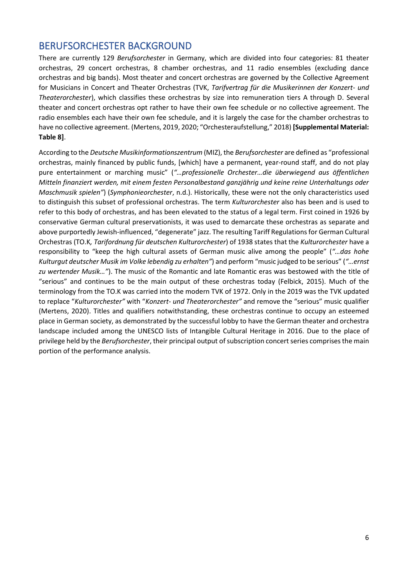# <span id="page-5-0"></span>BERUFSORCHESTER BACKGROUND

There are currently 129 *Berufsorchester* in Germany, which are divided into four categories: 81 theater orchestras, 29 concert orchestras, 8 chamber orchestras, and 11 radio ensembles (excluding dance orchestras and big bands). Most theater and concert orchestras are governed by the Collective Agreement for Musicians in Concert and Theater Orchestras (TVK, *Tarifvertrag für die Musikerinnen der Konzert- und Theaterorchester*), which classifies these orchestras by size into remuneration tiers A through D. Several theater and concert orchestras opt rather to have their own fee schedule or no collective agreement. The radio ensembles each have their own fee schedule, and it is largely the case for the chamber orchestras to have no collective agreement. (Mertens, 2019, 2020; "Orchesteraufstellung," 2018) **[Supplemental Material: Table 8]**.

According to the *Deutsche Musikinformationszentrum* (MIZ), the *Berufsorchester* are defined as "professional orchestras, mainly financed by public funds, [which] have a permanent, year-round staff, and do not play pure entertainment or marching music" (*"…professionelle Orchester…die überwiegend aus öffentlichen Mitteln finanziert werden, mit einem festen Personalbestand ganzjährig und keine reine Unterhaltungs oder Maschmusik spielen"*) (*Symphonieorchester*, n.d.). Historically, these were not the only characteristics used to distinguish this subset of professional orchestras. The term *Kulturorchester* also has been and is used to refer to this body of orchestras, and has been elevated to the status of a legal term. First coined in 1926 by conservative German cultural preservationists, it was used to demarcate these orchestras as separate and above purportedly Jewish-influenced, "degenerate" jazz. The resulting Tariff Regulations for German Cultural Orchestras (TO.K*, Tarifordnung für deutschen Kulturorchester*) of 1938 states that the *Kulturorchester* have a responsibility to "keep the high cultural assets of German music alive among the people" (*"…das hohe Kulturgut deutscher Musik im Volke lebendig zu erhalten"*) and perform "music judged to be serious" (*"…ernst zu wertender Musik…"*). The music of the Romantic and late Romantic eras was bestowed with the title of "serious" and continues to be the main output of these orchestras today (Felbick, 2015). Much of the terminology from the TO.K was carried into the modern TVK of 1972. Only in the 2019 was the TVK updated to replace "*Kulturorchester"* with "*Konzert- und Theaterorchester"* and remove the "serious" music qualifier (Mertens, 2020). Titles and qualifiers notwithstanding, these orchestras continue to occupy an esteemed place in German society, as demonstrated by the successful lobby to have the German theater and orchestra landscape included among the UNESCO lists of Intangible Cultural Heritage in 2016. Due to the place of privilege held by the *Berufsorchester*, their principal output of subscription concert series comprises the main portion of the performance analysis.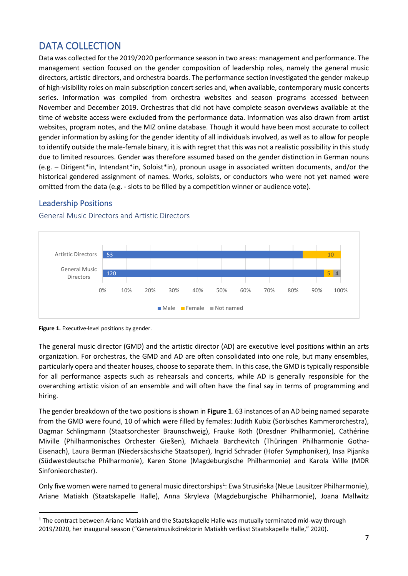# <span id="page-6-0"></span>DATA COLLECTION

Data was collected for the 2019/2020 performance season in two areas: management and performance. The management section focused on the gender composition of leadership roles, namely the general music directors, artistic directors, and orchestra boards. The performance section investigated the gender makeup of high-visibility roles on main subscription concert series and, when available, contemporary music concerts series. Information was compiled from orchestra websites and season programs accessed between November and December 2019. Orchestras that did not have complete season overviews available at the time of website access were excluded from the performance data. Information was also drawn from artist websites, program notes, and the MIZ online database. Though it would have been most accurate to collect gender information by asking for the gender identity of all individuals involved, as well as to allow for people to identify outside the male-female binary, it is with regret that this was not a realistic possibility in this study due to limited resources. Gender was therefore assumed based on the gender distinction in German nouns (e.g. – Dirigent\*in, Intendant\*in, Soloist\*in), pronoun usage in associated written documents, and/or the historical gendered assignment of names. Works, soloists, or conductors who were not yet named were omitted from the data (e.g. - slots to be filled by a competition winner or audience vote).

### <span id="page-6-1"></span>Leadership Positions



<span id="page-6-2"></span>General Music Directors and Artistic Directors

The general music director (GMD) and the artistic director (AD) are executive level positions within an arts organization. For orchestras, the GMD and AD are often consolidated into one role, but many ensembles, particularly opera and theater houses, choose to separate them. In this case, the GMD is typically responsible for all performance aspects such as rehearsals and concerts, while AD is generally responsible for the overarching artistic vision of an ensemble and will often have the final say in terms of programming and hiring.

The gender breakdown of the two positions is shown in **Figure 1**. 63 instances of an AD being named separate from the GMD were found, 10 of which were filled by females: Judith Kubiz (Sorbisches Kammerorchestra), Dagmar Schlingmann (Staatsorchester Braunschweig), Frauke Roth (Dresdner Philharmonie), Cathérine Miville (Philharmonisches Orchester Gießen), Michaela Barchevitch (Thüringen Philharmonie Gotha-Eisenach), Laura Berman (Niedersäcshsiche Staatsoper), Ingrid Schrader (Hofer Symphoniker), Insa Pijanka (Südwestdeutsche Philharmonie), Karen Stone (Magdeburgische Philharmonie) and Karola Wille (MDR Sinfonieorchester).

Only five women were named to general music directorships<sup>1</sup>: Ewa Strusińska (Neue Lausitzer Philharmonie), Ariane Matiakh (Staatskapelle Halle), Anna Skryleva (Magdeburgische Philharmonie), Joana Mallwitz

Figure 1. Executive-level positions by gender.

 $1$  The contract between Ariane Matiakh and the Staatskapelle Halle was mutually terminated mid-way through 2019/2020, her inaugural season ("Generalmusikdirektorin Matiakh verlässt Staatskapelle Halle," 2020).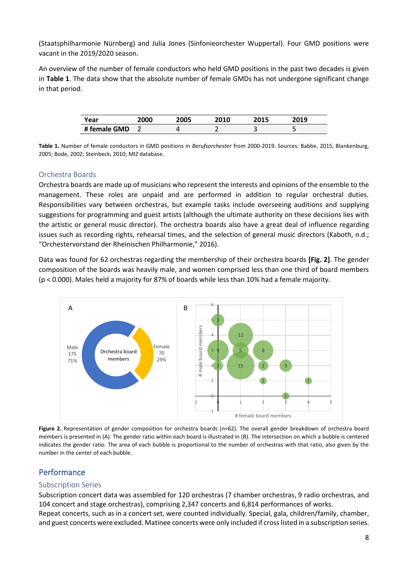(Staatsphilharmonie Nürnberg) and Julia Jones (Sinfonieorchester Wuppertal). Four GMD positions were vacant in the 2019/2020 season.

An overview of the number of female conductors who held GMD positions in the past two decades is given in **Table 1**. The data show that the absolute number of female GMDs has not undergone significant change in that period.

| Year         | 2000 | 2005 | 2010 | <b>JA1 E</b> | ה 1 מ |
|--------------|------|------|------|--------------|-------|
| # female GMD |      |      |      |              |       |

**Table 1.** Number of female conductors in GMD positions in *Berufsorchester* from 2000-2019. Sources: Babbe, 2015, Blankenburg, 2005; Bode, 2002; Steinbeck, 2010; MIZ database.

#### <span id="page-7-0"></span>Orchestra Boards

Orchestra boards are made up of musicians who represent the interests and opinions of the ensemble to the management. These roles are unpaid and are performed in addition to regular orchestral duties. Responsibilities vary between orchestras, but example tasks include overseeing auditions and supplying suggestions for programming and guest artists (although the ultimate authority on these decisions lies with the artistic or general music director). The orchestra boards also have a great deal of influence regarding issues such as recording rights, rehearsal times, and the selection of general music directors (Kaboth, n.d.; "Orchestervorstand der Rheinischen Philharmonie," 2016).

Data was found for 62 orchestras regarding the membership of their orchestra boards **[Fig. 2]**. The gender composition of the boards was heavily male, and women comprised less than one third of board members (p < 0.000). Males held a majority for 87% of boards while less than 10% had a female majority.



**Figure 2.** Representation of gender composition for orchestra boards (n=62). The overall gender breakdown of orchestra board members is presented in (A). The gender ratio within each board is illustrated in (B). The intersection on which a bubble is centered indicates the gender ratio. The area of each bubble is proportional to the number of orchestras with that ratio, also given by the number in the center of each bubble.

#### <span id="page-7-1"></span>Performance

#### <span id="page-7-2"></span>Subscription Series

Subscription concert data was assembled for 120 orchestras (7 chamber orchestras, 9 radio orchestras, and 104 concert and stage orchestras), comprising 2,347 concerts and 6,814 performances of works. Repeat concerts, such as in a concert set, were counted individually. Special, gala, children/family, chamber, and guest concerts were excluded. Matinee concerts were only included if cross listed in a subscription series.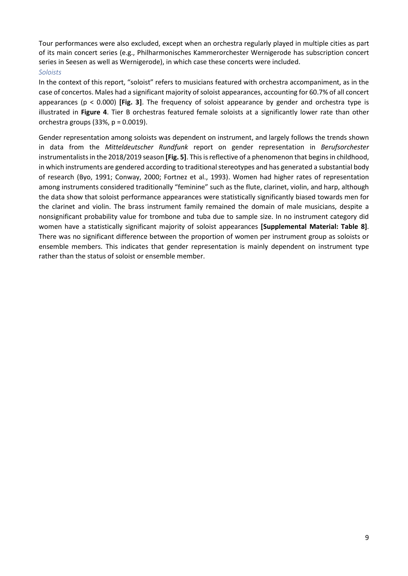Tour performances were also excluded, except when an orchestra regularly played in multiple cities as part of its main concert series (e.g., Philharmonisches Kammerorchester Wernigerode has subscription concert series in Seesen as well as Wernigerode), in which case these concerts were included.

#### <span id="page-8-0"></span>*Soloists*

In the context of this report, "soloist" refers to musicians featured with orchestra accompaniment, as in the case of concertos. Males had a significant majority of soloist appearances, accounting for 60.7% of all concert appearances (p < 0.000) **[Fig. 3]**. The frequency of soloist appearance by gender and orchestra type is illustrated in **Figure 4**. Tier B orchestras featured female soloists at a significantly lower rate than other orchestra groups  $(33\%, p = 0.0019)$ .

Gender representation among soloists was dependent on instrument, and largely follows the trends shown in data from the *Mitteldeutscher Rundfunk* report on gender representation in *Berufsorchester*  instrumentalists in the 2018/2019 season **[Fig. 5]**. This is reflective of a phenomenon that begins in childhood, in which instruments are gendered according to traditional stereotypes and has generated a substantial body of research (Byo, 1991; Conway, 2000; Fortnez et al., 1993). Women had higher rates of representation among instruments considered traditionally "feminine" such as the flute, clarinet, violin, and harp, although the data show that soloist performance appearances were statistically significantly biased towards men for the clarinet and violin. The brass instrument family remained the domain of male musicians, despite a nonsignificant probability value for trombone and tuba due to sample size. In no instrument category did women have a statistically significant majority of soloist appearances **[Supplemental Material: Table 8]**. There was no significant difference between the proportion of women per instrument group as soloists or ensemble members. This indicates that gender representation is mainly dependent on instrument type rather than the status of soloist or ensemble member.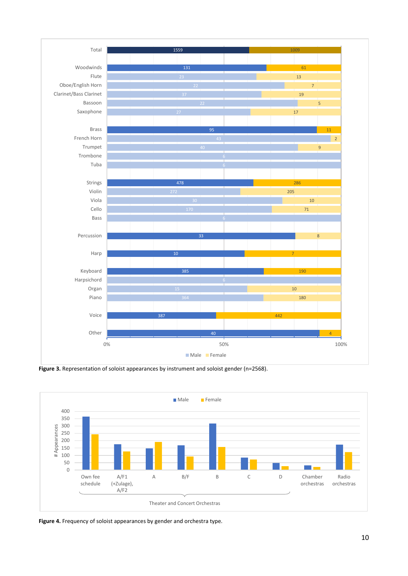





**Figure 4.** Frequency of soloist appearances by gender and orchestra type.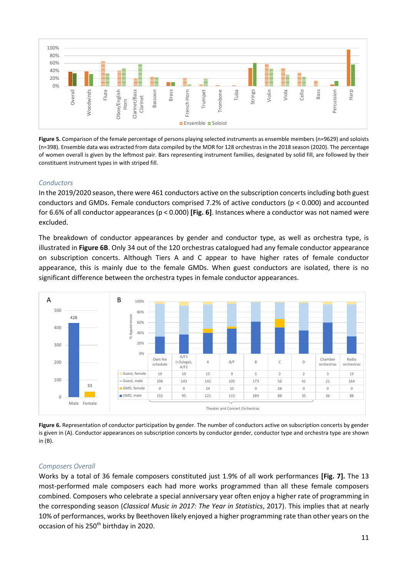

**Figure 5.** Comparison of the female percentage of persons playing selected instruments as ensemble members (n=9629) and soloists (n=398). Ensemble data was extracted from data compiled by the MDR for 128 orchestras in the 2018 season (2020). The percentage of women overall is given by the leftmost pair. Bars representing instrument families, designated by solid fill, are followed by their constituent instrument types in with striped fill.

#### <span id="page-10-0"></span>*Conductors*

In the 2019/2020 season, there were 461 conductors active on the subscription concerts including both guest conductors and GMDs. Female conductors comprised 7.2% of active conductors (p < 0.000) and accounted for 6.6% of all conductor appearances (p < 0.000) **[Fig. 6]**. Instances where a conductor was not named were excluded.

The breakdown of conductor appearances by gender and conductor type, as well as orchestra type, is illustrated in **Figure 6B**. Only 34 out of the 120 orchestras catalogued had any female conductor appearance on subscription concerts. Although Tiers A and C appear to have higher rates of female conductor appearance, this is mainly due to the female GMDs. When guest conductors are isolated, there is no significant difference between the orchestra types in female conductor appearances.



Figure 6. Representation of conductor participation by gender. The number of conductors active on subscription concerts by gender is given in (A). Conductor appearances on subscription concerts by conductor gender, conductor type and orchestra type are shown in (B).

#### <span id="page-10-1"></span>*Composers Overall*

Works by a total of 36 female composers constituted just 1.9% of all work performances **[Fig. 7].** The 13 most-performed male composers each had more works programmed than all these female composers combined. Composers who celebrate a special anniversary year often enjoy a higher rate of programming in the corresponding season (*Classical Music in 2017: The Year in Statistics*, 2017). This implies that at nearly 10% of performances, works by Beethoven likely enjoyed a higher programming rate than other years on the occasion of his 250<sup>th</sup> birthday in 2020.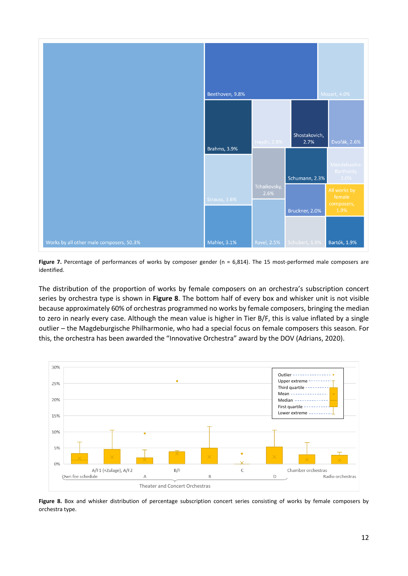

Figure 7. Percentage of performances of works by composer gender (n = 6,814). The 15 most-performed male composers are identified.

The distribution of the proportion of works by female composers on an orchestra's subscription concert series by orchestra type is shown in **Figure 8**. The bottom half of every box and whisker unit is not visible because approximately 60% of orchestras programmed no works by female composers, bringing the median to zero in nearly every case. Although the mean value is higher in Tier B/F, this is value inflated by a single outlier – the Magdeburgische Philharmonie, who had a special focus on female composers this season. For this, the orchestra has been awarded the "Innovative Orchestra" award by the DOV (Adrians, 2020).



Figure 8. Box and whisker distribution of percentage subscription concert series consisting of works by female composers by orchestra type.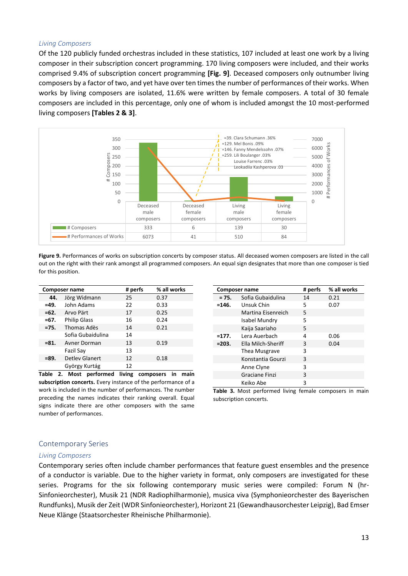#### <span id="page-12-0"></span>*Living Composers*

Of the 120 publicly funded orchestras included in these statistics, 107 included at least one work by a living composer in their subscription concert programming. 170 living composers were included, and their works comprised 9.4% of subscription concert programming **[Fig. 9]**. Deceased composers only outnumber living composers by a factor of two, and yet have over ten times the number of performances of their works. When works by living composers are isolated, 11.6% were written by female composers. A total of 30 female composers are included in this percentage, only one of whom is included amongst the 10 most-performed living composers **[Tables 2 & 3]**.



**Figure 9.** Performances of works on subscription concerts by composer status. All deceased women composers are listed in the call out on the right with their rank amongst all programmed composers. An equal sign designates that more than one composer is tied for this position.

| Composer name |                       | # perfs | % all works |
|---------------|-----------------------|---------|-------------|
| 44.           | Jörg Widmann          | 25      | 0.37        |
| $=49.$        | John Adams            | 22      | 0.33        |
| $=62.$        | Arvo Pärt             | 17      | 0.25        |
| $=67.$        | <b>Philip Glass</b>   | 16      | 0.24        |
| $=75.$        | Thomas Adès           | 14      | 0.21        |
|               | Sofia Gubaidulina     | 14      |             |
| $= 81.$       | Avner Dorman          | 13      | 0.19        |
|               | Fazil Sav             | 13      |             |
| $= 89.$       | <b>Detley Glanert</b> | 12      | 0.18        |
|               | György Kurtág         | 12      |             |

**Table 2. Most performed living composers in main subscription concerts.** Every instance of the performance of a work is included in the number of performances. The number preceding the names indicates their ranking overall. Equal signs indicate there are other composers with the same number of performances.

|          | Composer name      | # perfs | % all works |
|----------|--------------------|---------|-------------|
| $= 75.$  | Sofia Gubaidulina  | 14      | 0.21        |
| $= 146.$ | Unsuk Chin         | 5       | 0.07        |
|          | Martina Eisenreich | 5       |             |
|          | Isabel Mundry      | 5       |             |
|          | Kaija Saariaho     | 5       |             |
| $=177.$  | Lera Auerbach      | 4       | 0.06        |
| $= 203.$ | Ella Milch-Sheriff | 3       | 0.04        |
|          | Thea Musgrave      | 3       |             |
|          | Konstantia Gourzi  | 3       |             |
|          | Anne Clyne         | 3       |             |
|          | Graciane Finzi     | 3       |             |
|          | Keiko Abe          | 3       |             |

**Table 3.** Most performed living female composers in main subscription concerts.

#### <span id="page-12-1"></span>Contemporary Series

#### <span id="page-12-2"></span>*Living Composers*

Contemporary series often include chamber performances that feature guest ensembles and the presence of a conductor is variable. Due to the higher variety in format, only composers are investigated for these series. Programs for the six following contemporary music series were compiled: Forum N (hr-Sinfonieorchester), Musik 21 (NDR Radiophilharmonie), musica viva (Symphonieorchester des Bayerischen Rundfunks), Musik der Zeit (WDR Sinfonieorchester), Horizont 21 (Gewandhausorchester Leipzig), Bad Emser Neue Klänge (Staatsorchester Rheinische Philharmonie).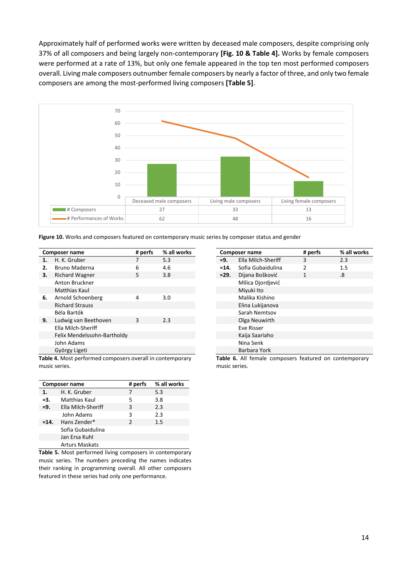Approximately half of performed works were written by deceased male composers, despite comprising only 37% of all composers and being largely non-contemporary **[Fig. 10 & Table 4].** Works by female composers were performed at a rate of 13%, but only one female appeared in the top ten most performed composers overall. Living male composers outnumber female composers by nearly a factor of three, and only two female composers are among the most-performed living composers **[Table 5]**.



|  |  |  | Figure 10. Works and composers featured on contemporary music series by composer status and gender |  |
|--|--|--|----------------------------------------------------------------------------------------------------|--|
|--|--|--|----------------------------------------------------------------------------------------------------|--|

|    | <b>Composer name</b>                                 | # perfs | % all works |
|----|------------------------------------------------------|---------|-------------|
| 1. | H. K. Gruber                                         | 7       | 5.3         |
| 2. | Bruno Maderna                                        | 6       | 4.6         |
| 3. | Richard Wagner                                       | 5       | 3.8         |
|    | Anton Bruckner                                       |         |             |
|    | Matthias Kaul                                        |         |             |
| 6. | Arnold Schoenberg                                    | 4       | 3.0         |
|    | <b>Richard Strauss</b>                               |         |             |
|    | Béla Bartók                                          |         |             |
| 9. | Ludwig van Beethoven                                 | 3       | 2.3         |
|    | Ella Milch-Sheriff                                   |         |             |
|    | Felix Mendelssohn-Bartholdy                          |         |             |
|    | John Adams                                           |         |             |
|    | György Ligeti                                        |         |             |
|    | Table A Mast norfarmed composers overall in contampo |         |             |

**Table 4.** Most performed composers overall in contemporary music series.

| <b>Composer name</b> |                       | # perfs       | % all works |  |
|----------------------|-----------------------|---------------|-------------|--|
| 1.                   | H. K. Gruber          |               | 5.3         |  |
| $=3.$                | Matthias Kaul         | 5             | 3.8         |  |
| $=9.$                | Ella Milch-Sheriff    | 3             | 2.3         |  |
|                      | John Adams            | 3             | 2.3         |  |
| $=14.$               | Hans Zender*          | $\mathcal{P}$ | 1.5         |  |
|                      | Sofia Gubaidulina     |               |             |  |
|                      | Jan Ersa Kuhl         |               |             |  |
|                      | <b>Arturs Maskats</b> |               |             |  |

**Table 5.** Most performed living composers in contemporary music series. The numbers preceding the names indicates their ranking in programming overall. All other composers featured in these series had only one performance.

|                | Composer name      | # perfs        | % all works |
|----------------|--------------------|----------------|-------------|
| $=9.$          | Ella Milch-Sheriff | 3              | 2.3         |
| $=14.$         | Sofia Gubaidulina  | $\mathfrak{p}$ | 1.5         |
| $= 29.$        | Dijana Bošković    | 1              | .8          |
|                | Milica Djordjević  |                |             |
|                | Miyuki Ito         |                |             |
| Malika Kishino |                    |                |             |
|                | Elina Lukijanova   |                |             |
|                | Sarah Nemtsov      |                |             |
|                | Olga Neuwirth      |                |             |
|                | Eve Risser         |                |             |
|                | Kaija Saariaho     |                |             |
|                | Nina Senk          |                |             |
|                | Barbara York       |                |             |

**Table 6.** All female composers featured on contemporary music series.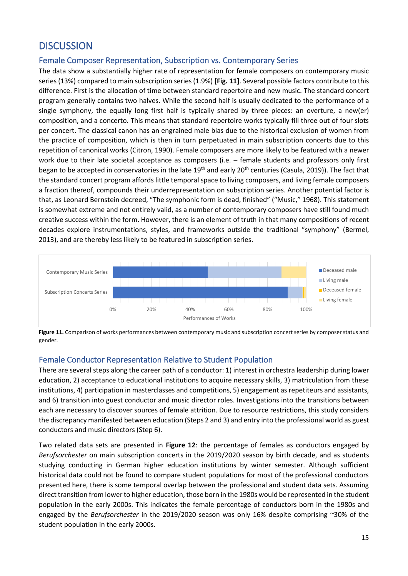# <span id="page-14-0"></span>**DISCUSSION**

#### <span id="page-14-1"></span>Female Composer Representation, Subscription vs. Contemporary Series

The data show a substantially higher rate of representation for female composers on contemporary music series (13%) compared to main subscription series (1.9%) **[Fig. 11]**. Several possible factors contribute to this difference. First is the allocation of time between standard repertoire and new music. The standard concert program generally contains two halves. While the second half is usually dedicated to the performance of a single symphony, the equally long first half is typically shared by three pieces: an overture, a new(er) composition, and a concerto. This means that standard repertoire works typically fill three out of four slots per concert. The classical canon has an engrained male bias due to the historical exclusion of women from the practice of composition, which is then in turn perpetuated in main subscription concerts due to this repetition of canonical works (Citron, 1990). Female composers are more likely to be featured with a newer work due to their late societal acceptance as composers (i.e. – female students and professors only first began to be accepted in conservatories in the late 19<sup>th</sup> and early 20<sup>th</sup> centuries (Casula, 2019)). The fact that the standard concert program affords little temporal space to living composers, and living female composers a fraction thereof, compounds their underrepresentation on subscription series. Another potential factor is that, as Leonard Bernstein decreed, "The symphonic form is dead, finished" ("Music," 1968). This statement is somewhat extreme and not entirely valid, as a number of contemporary composers have still found much creative success within the form. However, there is an element of truth in that many compositions of recent decades explore instrumentations, styles, and frameworks outside the traditional "symphony" (Bermel, 2013), and are thereby less likely to be featured in subscription series.



**Figure 11.** Comparison of works performances between contemporary music and subscription concert series by composer status and gender.

#### <span id="page-14-2"></span>Female Conductor Representation Relative to Student Population

There are several steps along the career path of a conductor: 1) interest in orchestra leadership during lower education, 2) acceptance to educational institutions to acquire necessary skills, 3) matriculation from these institutions, 4) participation in masterclasses and competitions, 5) engagement as repetiteurs and assistants, and 6) transition into guest conductor and music director roles. Investigations into the transitions between each are necessary to discover sources of female attrition. Due to resource restrictions, this study considers the discrepancy manifested between education (Steps 2 and 3) and entry into the professional world as guest conductors and music directors (Step 6).

Two related data sets are presented in **Figure 12**: the percentage of females as conductors engaged by *Berufsorchester* on main subscription concerts in the 2019/2020 season by birth decade, and as students studying conducting in German higher education institutions by winter semester. Although sufficient historical data could not be found to compare student populations for most of the professional conductors presented here, there is some temporal overlap between the professional and student data sets. Assuming direct transition from lower to higher education, those born in the 1980s would be represented in the student population in the early 2000s. This indicates the female percentage of conductors born in the 1980s and engaged by the *Berufsorchester* in the 2019/2020 season was only 16% despite comprising ~30% of the student population in the early 2000s.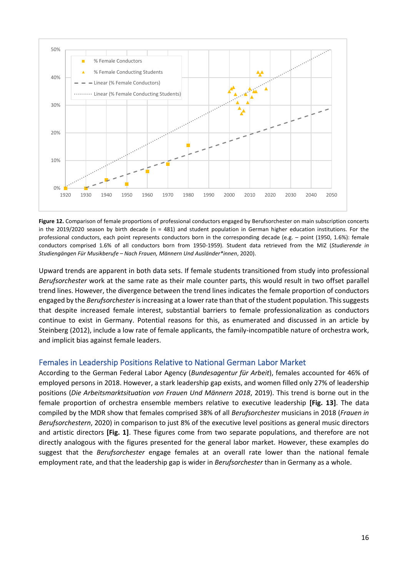

**Figure 12.** Comparison of female proportions of professional conductors engaged by Berufsorchester on main subscription concerts in the 2019/2020 season by birth decade (n = 481) and student population in German higher education institutions. For the professional conductors, each point represents conductors born in the corresponding decade (e.g. – point (1950, 1.6%): female conductors comprised 1.6% of all conductors born from 1950-1959). Student data retrieved from the MIZ (*Studierende in Studiengängen Für Musikberufe – Nach Frauen, Männern Und Ausländer\*innen*, 2020).

Upward trends are apparent in both data sets. If female students transitioned from study into professional *Berufsorchester* work at the same rate as their male counter parts, this would result in two offset parallel trend lines. However, the divergence between the trend lines indicates the female proportion of conductors engaged by the *Berufsorchester* is increasing at a lower rate than that of the student population. This suggests that despite increased female interest, substantial barriers to female professionalization as conductors continue to exist in Germany. Potential reasons for this, as enumerated and discussed in an article by Steinberg (2012), include a low rate of female applicants, the family-incompatible nature of orchestra work, and implicit bias against female leaders.

#### <span id="page-15-0"></span>Females in Leadership Positions Relative to National German Labor Market

According to the German Federal Labor Agency (*Bundesagentur für Arbeit*), females accounted for 46% of employed persons in 2018. However, a stark leadership gap exists, and women filled only 27% of leadership positions (*Die Arbeitsmarktsituation von Frauen Und Männern 2018*, 2019). This trend is borne out in the female proportion of orchestra ensemble members relative to executive leadership **[Fig. 13]**. The data compiled by the MDR show that females comprised 38% of all *Berufsorchester* musicians in 2018 (*Frauen in Berufsorchestern*, 2020) in comparison to just 8% of the executive level positions as general music directors and artistic directors **[Fig. 1]**. These figures come from two separate populations, and therefore are not directly analogous with the figures presented for the general labor market. However, these examples do suggest that the *Berufsorchester* engage females at an overall rate lower than the national female employment rate, and that the leadership gap is wider in *Berufsorchester* than in Germany as a whole.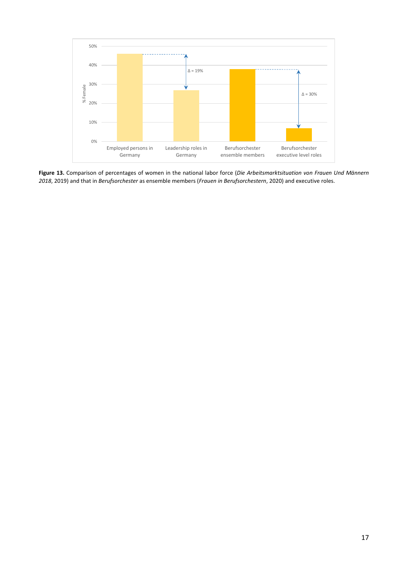

**Figure 13.** Comparison of percentages of women in the national labor force (*Die Arbeitsmarktsituation von Frauen Und Männern 2018*, 2019) and that in *Berufsorchester* as ensemble members (*Frauen in Berufsorchestern*, 2020) and executive roles.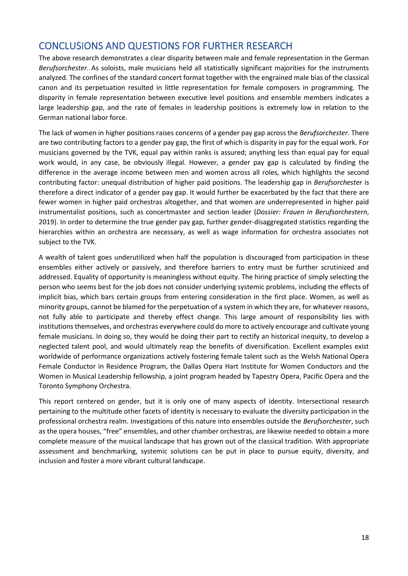# <span id="page-17-0"></span>CONCLUSIONS AND QUESTIONS FOR FURTHER RESEARCH

The above research demonstrates a clear disparity between male and female representation in the German *Berufsorchester*. As soloists, male musicians held all statistically significant majorities for the instruments analyzed. The confines of the standard concert format together with the engrained male bias of the classical canon and its perpetuation resulted in little representation for female composers in programming. The disparity in female representation between executive level positions and ensemble members indicates a large leadership gap, and the rate of females in leadership positions is extremely low in relation to the German national labor force.

The lack of women in higher positions raises concerns of a gender pay gap across the *Berufsorchester*. There are two contributing factors to a gender pay gap, the first of which is disparity in pay for the equal work. For musicians governed by the TVK, equal pay within ranks is assured; anything less than equal pay for equal work would, in any case, be obviously illegal. However, a gender pay gap is calculated by finding the difference in the average income between men and women across all roles, which highlights the second contributing factor: unequal distribution of higher paid positions. The leadership gap in *Berufsorchester* is therefore a direct indicator of a gender pay gap. It would further be exacerbated by the fact that there are fewer women in higher paid orchestras altogether, and that women are underrepresented in higher paid instrumentalist positions, such as concertmaster and section leader (*Dossier: Frauen in Berufsorchestern*, 2019). In order to determine the true gender pay gap, further gender-disaggregated statistics regarding the hierarchies within an orchestra are necessary, as well as wage information for orchestra associates not subject to the TVK.

A wealth of talent goes underutilized when half the population is discouraged from participation in these ensembles either actively or passively, and therefore barriers to entry must be further scrutinized and addressed. Equality of opportunity is meaningless without equity. The hiring practice of simply selecting the person who seems best for the job does not consider underlying systemic problems, including the effects of implicit bias, which bars certain groups from entering consideration in the first place. Women, as well as minority groups, cannot be blamed for the perpetuation of a system in which they are, for whatever reasons, not fully able to participate and thereby effect change. This large amount of responsibility lies with institutions themselves, and orchestras everywhere could do more to actively encourage and cultivate young female musicians. In doing so, they would be doing their part to rectify an historical inequity, to develop a neglected talent pool, and would ultimately reap the benefits of diversification. Excellent examples exist worldwide of performance organizations actively fostering female talent such as the Welsh National Opera Female Conductor in Residence Program, the Dallas Opera Hart Institute for Women Conductors and the Women in Musical Leadership fellowship, a joint program headed by Tapestry Opera, Pacific Opera and the Toronto Symphony Orchestra.

This report centered on gender, but it is only one of many aspects of identity. Intersectional research pertaining to the multitude other facets of identity is necessary to evaluate the diversity participation in the professional orchestra realm. Investigations of this nature into ensembles outside the *Berufsorchester*, such as the opera houses, "free" ensembles, and other chamber orchestras, are likewise needed to obtain a more complete measure of the musical landscape that has grown out of the classical tradition. With appropriate assessment and benchmarking, systemic solutions can be put in place to pursue equity, diversity, and inclusion and foster a more vibrant cultural landscape.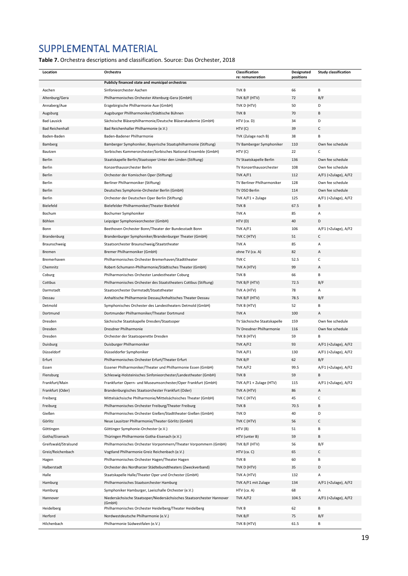# <span id="page-18-0"></span>SUPPLEMENTAL MATERIAL

**Table 7.** Orchestra descriptions and classification. Source: Das Orchester, 2018

| Location               | Orchestra                                                              | Classification<br>re: remuneration | Designated<br>positions | <b>Study classification</b> |
|------------------------|------------------------------------------------------------------------|------------------------------------|-------------------------|-----------------------------|
|                        | Publicly financed state and municipal orchestras                       |                                    |                         |                             |
| Aachen                 | Sinfonieorchester Aachen                                               | TVK B                              | 66                      | В                           |
| Altenburg/Gera         | Philharmonisches Orchester Altenburg-Gera (GmbH)                       | TVK B/F (HTV)                      | 72                      | B/F                         |
| Annaberg/Aue           | Erzgebirgische Philharmonie Aue (GmbH)                                 | TVK D (HTV)                        | 50                      | D                           |
| Augsburg               | Augsburger Phillharmoniker/Städtische Bühnen                           | TVK B                              | 70                      | B                           |
| <b>Bad Lausick</b>     | Sächsische Bläserphilharmonie/Deutsche Bläserakademie (GmbH)           | HTV (ca. D)                        | 34                      | D                           |
| <b>Bad Reichenhall</b> | Bad Reichenhaller Philharmonie (e.V.)                                  | HTV (C)                            | 39                      | C                           |
| Baden-Baden            | Baden-Badener Philharmonie                                             | TVK (Zulage nach B)                | 38                      | В                           |
| Bamberg                | Bamberger Symphoniker, Bayerische Staatsphilharmonie (Stiftung)        | TV Bamberger Symphoniker           | 110                     | Own fee schedule            |
| Bautzen                | Sorbisches Kammerorchester/Sorbisches National-Ensemble (GmbH)         | HTV (C)                            | 22                      | C                           |
| Berlin                 | Staatskapelle Berlin/Staatsoper Unter den Linden (Stiftung)            | TV Staatskapelle Berlin            | 136                     | Own fee schedule            |
| Berlin                 | Konzerthausorchester Berlin                                            | TV Konzerthausorchester            | 108                     | Own fee schedule            |
| Berlin                 | Orchester der Komischen Oper (Stiftung)                                | TVK A/F1                           | 112                     | A/F1 (+Zulage), A/F2        |
| Berlin                 | Berliner Philharmoniker (Stiftung)                                     | TV Berliner Philharmoniker         | 128                     | Own fee schedule            |
| Berlin                 | Deutsches Symphonie-Orchester Berlin (GmbH)                            | TV DSO Berlin                      | 114                     | Own fee schedule            |
| Berlin                 | Orchester der Deutschen Oper Berlin (Stiftung)                         | TVK A/F1 + Zulage                  | 125                     | A/F1 (+Zulage), A/F2        |
| Bielefeld              | Bielefelder Philharmoniker/Theater Bielefeld                           | TVK B                              | 67.5                    | В                           |
| Bochum                 | Bochumer Symphoniker                                                   | <b>TVKA</b>                        | 85                      | А                           |
| Böhlen                 | Leipziger Symphonieorchester (GmbH)                                    | HTV (D)                            | 40                      | D                           |
| Bonn                   | Beethoven Orchester Bonn/Theater der Bundesstadt Bonn                  | TVK A/F1                           | 106                     | A/F1 (+Zulage), A/F2        |
| Brandenburg            | Brandenburger Symphoniker/Brandenburger Theater (GmbH)                 | TVK C (HTV)                        | 51                      | C                           |
| Braunschweig           | Staatsorchester Braunschweig/Staatstheater                             | <b>TVKA</b>                        | 85                      | Α                           |
|                        |                                                                        |                                    |                         |                             |
| Bremen                 | Bremer Philharmoniker (GmbH)                                           | ohne TV (ca. A)                    | 82                      | A                           |
| Bremerhaven            | Philharmonisches Orchester Bremerhaven/Stadttheater                    | TVK <sub>C</sub>                   | 52.5                    | $\mathsf{C}$                |
| Chemnitz               | Robert-Schumann-Philharmonie/Städtisches Theater (GmbH)                | TVK A (HTV)                        | 99                      | A                           |
| Coburg                 | Philharmonisches Orchester Landestheater Coburg                        | TVK B                              | 66                      | В                           |
| Cottbus                | Philharmonisches Orchester des Staatstheaters Cottbus (Stiftung)       | TVK B/F (HTV)                      | 72.5                    | B/F                         |
| Darmstadt              | Staatsorchester Darmstadt/Staatstheater                                | TVK A (HTV)                        | 78                      | Α                           |
| Dessau                 | Anhaltische Philharmonie Dessau/Anhaltisches Theater Dessau            | TVK B/F (HTV)                      | 78.5                    | B/F                         |
| Detmold                | Symphonisches Orchester des Landestheaters Detmold (GmbH)              | TVK B (HTV)                        | 52                      | В                           |
| Dortmund               | Dortmunder Philharmoniker/Theater Dortmund                             | <b>TVKA</b>                        | 100                     | Α                           |
| Dresden                | Sächsische Staatskapelle Dresden/Staatsoper                            | TV Sächsische Staatskapelle        | 159                     | Own fee schedule            |
| Dresden                | Dresdner Philharmonie                                                  | TV Dresdner Philharmonie           | 116                     | Own fee schedule            |
| Dresden                | Orchester der Staatsoperette Dresden                                   | TVK B (HTV)                        | 59                      | В                           |
| Duisburg               | Duisburger Philharmoniker                                              | TVK A/F2                           | 93                      | A/F1 (+Zulage), A/F2        |
| Düsseldorf             | Düsseldorfer Symphoniker                                               | TVK A/F1                           | 130                     | A/F1 (+Zulage), A/F2        |
| Erfurt                 | Philharmonisches Orchester Erfurt/Theater Erfurt                       | TVK B/F                            | 62                      | B/F                         |
| Essen                  | Essener Philharmoniker/Theater und Philharmonie Essen (GmbH)           | TVK A/F2                           | 99.5                    | A/F1 (+Zulage), A/F2        |
| Flensburg              | Schleswig-Holsteinisches Sinfonieorchester/Landestheater (GmbH)        | tvk b                              | 59                      |                             |
| Frankfurt/Main         | Frankfurter Opern- und Museumsorchester/Oper Frankfurt (GmbH)          | TVK A/F1 + Zulage (HTV)            | 115                     | A/F1 (+Zulage), A/F2        |
| Frankfurt (Oder)       | Brandenburgisches Staatsorchester Frankfurt (Oder)                     | TVK A (HTV)                        | 86                      | Α                           |
| Freiberg               | Mittelsächsische Philharmonie/Mittelsächsisches Theater (GmbH)         | TVK C (HTV)                        | 45                      | $\mathsf C$                 |
| Freiburg               | Philharmonisches Orchester Freiburg/Theater Freiburg                   | TVK B                              | 70.5                    | В                           |
| Gießen                 | Philharmonisches Orchester Gießen/Stadttheater Gießen (GmbH)           | TVK D                              | 40                      | D                           |
| Görlitz                | Neue Lausitzer Philharmonie/Theater Görlitz (GmbH)                     | TVK C (HTV)                        | 56                      | C                           |
| Göttingen              | Göttinger Symphonie-Orchester (e.V.)                                   | HTV (B)                            | 51                      | В                           |
| Gotha/Eisenach         | Thüringen Philharmonie Gotha-Eisenach (e.V.)                           | HTV (unter B)                      | 59                      | В                           |
| Greifswald/Stralsund   | Philharmonisches Orchester Vorpommern/Theater Vorpommern (GmbH)        | TVK B/F (HTV)                      | 56                      | B/F                         |
| Greiz/Reichenbach      | Vogtland Philharmonie Greiz Reichenbach (e.V.)                         | HTV (ca. C)                        | 65                      | $\mathsf{C}$                |
| Hagen                  | Philharmonisches Orchester Hagen/Theater Hagen                         | TVK B                              | 60                      | В                           |
| Halberstadt            | Orchester des Nordharzer Städtebundtheaters (Zweckverband)             | TVK D (HTV)                        | 35                      | D                           |
| Halle                  | Staatskapelle Halle/Theater Oper und Orchester (GmbH)                  | TVK A (HTV)                        | 132                     | А                           |
| Hamburg                | Philharmonisches Staatsorchester Hamburg                               | TVK A/F1 mit Zulage                | 134                     | A/F1 (+Zulage), A/F2        |
| Hamburg                | Symphoniker Hamburger, Laeiszhalle Orchester (e.V.)                    | HTV (ca. A)                        | 68                      | А                           |
| Hannover               | Niedersächsische Staatsoper/Niedersächsisches Staatsorchester Hannover | TVK A/F2                           | 104.5                   | A/F1 (+Zulage), A/F2        |
|                        | (GmbH)<br>Philharmonisches Orchester Heidelberg/Theater Heidelberg     |                                    |                         | В                           |
| Heidelberg             |                                                                        | TVK B                              | 62                      |                             |
| Herford                | Nordwestdeutsche Philharmonie (e.V.)                                   | TVK B/F                            | 75                      | B/F                         |
| Hilchenbach            | Philharmonie Südwestfalen (e.V.)                                       | TVK B (HTV)                        | 61.5                    | В                           |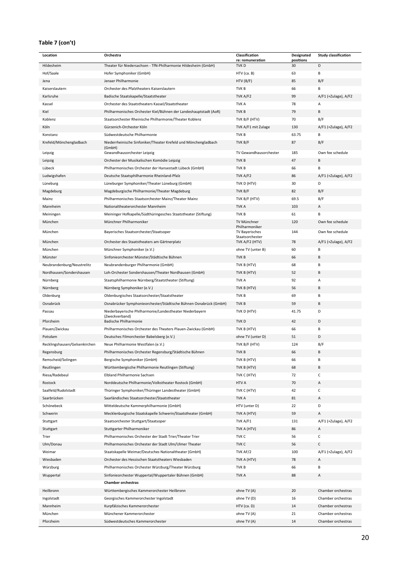#### **Table 7 (con't)**

| Location                      | Orchestra                                                                  | Classification                       | Designated      | <b>Study classification</b> |
|-------------------------------|----------------------------------------------------------------------------|--------------------------------------|-----------------|-----------------------------|
| Hildesheim                    | Theater für Niedersachsen - TfN-Philharmonie Hildesheim (GmbH)             | re: remuneration<br>TVK <sub>D</sub> | positions<br>30 | D                           |
| Hof/Saale                     | Hofer Symphoniker (GmbH)                                                   | HTV (ca. B)                          | 63              | В                           |
| Jena                          | Jenaer Philharmonie                                                        | HTV(B/F)                             | 85              | B/F                         |
| Kaiserslautern                | Orchester des Pfalztheaters Kaiserslautern                                 | TVK B                                | 66              | В                           |
| Karlsruhe                     | Badische Staatskapelle/Staatstheater                                       | TVK A/F2                             | 99              | A/F1 (+Zulage), A/F2        |
| Kassel                        | Orchester des Staatstheaters Kassel/Staatstheater                          | <b>TVKA</b>                          | 78              | А                           |
| Kiel                          | Philharmonisches Orchester Kiel/Bühnen der Landeshauptstadt (AoR)          | TVK B                                | 79              | B                           |
| Koblenz                       | Staatsorchester Rheinische Philharmonie/Theater Koblenz                    | TVK B/F (HTV)                        | 70              | B/F                         |
| Köln                          | Gürzenich-Orchester Köln                                                   | TVK A/F1 mit Zulage                  | 130             | A/F1 (+Zulage), A/F2        |
| Konstanz                      | Südwestdeutsche Philharmonie                                               | TVK B                                | 63.75           | В                           |
| Krefeld/Mönchengladbach       | Niederrheinische Sinfoniker/Theater Krefeld und Mönchengladbach            | TVK B/F                              | 87              | B/F                         |
|                               | (GmbH)                                                                     |                                      |                 |                             |
| Leipzig                       | Gewandhausorchester Leipzig                                                | TV Gewandhausorchester               | 185             | Own fee schedule            |
| Leipzig                       | Orchester der Musikalischen Komödie Leipzig                                | TVK B                                | 47              | B                           |
| Lübeck                        | Philharmonisches Orchester der Hansestadt Lübeck (GmbH)                    | TVK B                                | 66              | B                           |
| Ludwigshafen                  | Deutsche Staatsphilharmonie Rheinland-Pfalz                                | TVK A/F2                             | 86              | A/F1 (+Zulage), A/F2        |
| Lüneburg                      | Lüneburger Symphoniker/Theater Lüneburg (GmbH)                             | TVK D (HTV)                          | 30              | D                           |
| Magdeburg                     | Magdeburgische Philharmonie/Theater Magdeburg                              | TVK B/F                              | 82              | B/F                         |
| Mainz                         | Philharmonisches Staatsorchester Mainz/Theater Mainz                       | TVK B/F (HTV)                        | 69.5            | B/F                         |
| Mannheim                      | Nationaltheaterorchester Mannheim                                          | <b>TVKA</b>                          | 103             | А                           |
| Meiningen                     | Meininger Hofkapelle/Südthüringesches Staatstheater (Stiftung)             | TVK B                                | 61              | В                           |
| München                       | Münchner Philharmoniker                                                    | TV Münchner                          | 120             | Own fee schedule            |
| München                       | Bayerisches Staatsorchester/Staatsoper                                     | Philharmoniker<br>TV Bayerisches     | 144             | Own fee schedule            |
|                               |                                                                            | Staatsorchester                      |                 |                             |
| München                       | Orchester des Staatstheaters am Gärtnerplatz                               | TVK A/F2 (HTV)                       | 78              | A/F1 (+Zulage), A/F2        |
| München                       | Münchner Symphoniker (e.V.)                                                | ohne TV (unter B)                    | 60              | В                           |
| Münster                       | Sinfonieorchester Münster/Städtische Bühnen                                | TVK <sub>B</sub>                     | 66              | B                           |
| Neubrandenburg/Neustrelitz    | Neubrandenburger Philharmonie (GmbH)                                       | TVK B (HTV)                          | 68              | В                           |
| Nordhausen/Sondershausen      | Loh-Orchester Sondershausen/Theater Nordhausen (GmbH)                      | TVK B (HTV)                          | 52              | B                           |
| Nürnberg                      | Staatsphilharmonie Nürnberg/Staatstheater (Stiftung)                       | <b>TVK A</b>                         | 92              | А                           |
| Nürnberg                      | Nürnberg Symphoniker (e.V.)                                                | TVK B (HTV)                          | 56              | B                           |
| Oldenburg                     | Oldenburgisches Staatsorchester/Staatstheater                              | TVK B                                | 69              | В                           |
| Osnabrück                     | Osnabrücker Symphonieorchester/Städtische Bühnen Osnabrück (GmbH)          | TVK <sub>B</sub>                     | 59              | В                           |
| Passau                        | Niederbayerische Philharmonie/Landestheater Niederbayern<br>(Zweckverband) | TVK D (HTV)                          | 41.75           | D                           |
| Pforzheim                     | Badische Philharmonie                                                      | TVK <sub>D</sub>                     | 42              | D                           |
| Plauen/Zwickau                | Philharmonisches Orchester des Theaters Plauen-Zwickau (GmbH)              | TVK B (HTV)                          | 66              | В                           |
| Potsdam                       | Deutsches Filmorchester Babelsberg (e.V.)                                  | ohne TV (unter D)                    | 51              | D                           |
| Recklingshausen/Gelsenkirchen | Neue Philharmonie Westfalen (e.V.)                                         | TVK B/F (HTV)                        | 124             | B/F                         |
| Regensburg                    | Philharmonisches Orchester Regensburg/Städtische Bühnen                    | TVK <sub>B</sub>                     | 66              | B                           |
| Remscheid/Solingen            | Bergische Symphoniker (GmbH)                                               | TVK B (HTV)                          | 66              | В                           |
| Reutlingen                    | Württembergische Philharmonie Reutlingen (Stiftung)                        | TVK B (HTV)                          | 68              | В                           |
| Riesa/Radebeul                | Elbland Philharmonie Sachsen                                               | TVK C (HTV)                          | 72              | С                           |
| Rostock                       | Norddeutsche Philharmonie/Volkstheater Rostock (GmbH)                      | HTV A                                | 70              | Α                           |
| Saalfeld/Rudolstadt           | Thüringer Symphoniker/Thüringer Landestheater (GmbH)                       | TVK C (HTV)                          | 42              | С                           |
| Saarbrücken                   | Saarländisches Staatsorchester/Staatstheater                               | TVK A                                | 81              | А                           |
| Schönebeck                    | Mitteldeutsche Kammerphilharmonie (GmbH)                                   | HTV (unter D)                        | 22              | D                           |
| Schwerin                      | Mecklenburgische Staatskapelle Schwerin/Staatstheater (GmbH)               | TVK A (HTV)                          | 59              | А                           |
| Stuttgart                     | Staatsorchester Stuttgart/Staatsoper                                       | TVK A/F1                             | 131             | A/F1 (+Zulage), A/F2        |
| Stuttgart                     | Stuttgarter Philharmoniker                                                 | TVK A (HTV)                          | 86              | А                           |
| Trier                         | Philharmonisches Orchester der Stadt Trier/Theater Trier                   | TVK C                                | 56              | С                           |
| Ulm/Donau                     | Philharmonisches Orchester der Stadt Ulm/Ulmer Theater                     | TVK C                                | 56              | С                           |
| Weimar                        | Staatskapelle Weimar/Deutsches Nationaltheater (GmbH)                      | TVK AF/2                             | 100             | A/F1 (+Zulage), A/F2        |
| Wiesbaden                     | Orchester des Hessischen Staatstheaters Wiesbaden                          | TVK A (HTV)                          | 78              | Α                           |
| Würzburg                      | Philharmonisches Orchester Würzburg/Theater Würzburg                       | TVK B                                | 66              | В                           |
| Wuppertal                     | Sinfonieorchester Wuppertal/Wuppertaler Bühnen (GmbH)                      | TVK A                                | 88              | А                           |
|                               | <b>Chamber orchestras</b>                                                  |                                      |                 |                             |
| Heilbronn                     | Württembergisches Kammerorchester Heilbronn                                | ohne TV (A)                          | 20              | Chamber orchestras          |
| Ingolstadt                    | Georgisches Kammerorchester Ingolstadt                                     | ohne TV (D)                          | 16              | Chamber orchestras          |
| Mannheim                      | Kurpfälzisches Kammerorchester                                             | $HTV$ (ca. D)                        | 14              | Chamber orchestras          |
| München                       | Münchener Kammerorchester                                                  |                                      | 21              | Chamber orchestras          |
|                               |                                                                            | ohne TV (A)                          |                 |                             |
| Pforzheim                     | Südwestdeutsches Kammerorchester                                           | ohne TV (A)                          | 14              | Chamber orchestras          |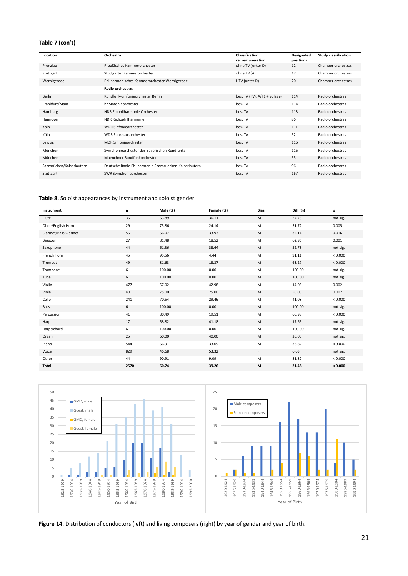#### **Table 7 (con't)**

| Location                  | Orchestra                                              | Classification<br>re: remuneration | Designated<br>positions | <b>Study classification</b> |
|---------------------------|--------------------------------------------------------|------------------------------------|-------------------------|-----------------------------|
| Prenzlau                  | Preußisches Kammerorchester                            | ohne TV (unter D)                  | 12                      | Chamber orchestras          |
| Stuttgart                 | Stuttgarter Kammerorchester                            | ohne TV (A)                        | 17                      | Chamber orchestras          |
| Wernigerode               | Philharmonisches Kammerorchester Wernigerode           | HTV (unter D)                      | 20                      | Chamber orchestras          |
|                           | <b>Radio orchestras</b>                                |                                    |                         |                             |
| Berlin                    | Rundfunk-Sinfonieorchester Berlin                      | bes. TV (TVK A/F1 + Zulage)        | 114                     | Radio orchestras            |
| Frankfurt/Main            | hr-Sinfonieorchester                                   | bes. TV                            | 114                     | Radio orchestras            |
| Hamburg                   | NDR Elbphilharmonie Orchester                          | bes. TV                            | 113                     | Radio orchestras            |
| Hannover                  | NDR Radiophilharmonie                                  | bes. TV                            | 86                      | Radio orchestras            |
| Köln                      | <b>WDR Sinfonieorchester</b>                           | bes. TV                            | 111                     | Radio orchestras            |
| Köln                      | <b>WDR Funkhausorchester</b>                           | bes. TV                            | 52                      | Radio orchestras            |
| Leipzig                   | <b>MDR Sinfonieorchester</b>                           | bes. TV                            | 116                     | Radio orchestras            |
| München                   | Symphonieorchester des Bayerischen Rundfunks           | bes. TV                            | 116                     | Radio orchestras            |
| München                   | Muenchner Rundfunkorchester                            | bes. TV                            | 55                      | Radio orchestras            |
| Saarbrücken/Kaiserlautern | Deutsche Radio Philharmonie Saarbruecken-Kaiserlautern | bes. TV                            | 96                      | Radio orchestras            |
| Stuttgart                 | SWR Symphonieorchester                                 | bes. TV                            | 167                     | Radio orchestras            |

**Table 8.** Soloist appearances by instrument and soloist gender.

| Instrument             | n    | Male (%) | Female (%) | <b>Bias</b> | Diff (%) | p        |
|------------------------|------|----------|------------|-------------|----------|----------|
| Flute                  | 36   | 63.89    | 36.11      | M           | 27.78    | not sig. |
| Oboe/English Horn      | 29   | 75.86    | 24.14      | M           | 51.72    | 0.005    |
| Clarinet/Bass Clarinet | 56   | 66.07    | 33.93      | M           | 32.14    | 0.016    |
| Bassoon                | 27   | 81.48    | 18.52      | M           | 62.96    | 0.001    |
| Saxophone              | 44   | 61.36    | 38.64      | M           | 22.73    | not sig. |
| French Horn            | 45   | 95.56    | 4.44       | M           | 91.11    | < 0.000  |
| Trumpet                | 49   | 81.63    | 18.37      | M           | 63.27    | < 0.000  |
| Trombone               | 6    | 100.00   | 0.00       | M           | 100.00   | not sig. |
| Tuba                   | 6    | 100.00   | 0.00       | M           | 100.00   | not sig. |
| Violin                 | 477  | 57.02    | 42.98      | M           | 14.05    | 0.002    |
| Viola                  | 40   | 75.00    | 25.00      | M           | 50.00    | 0.002    |
| Cello                  | 241  | 70.54    | 29.46      | M           | 41.08    | < 0.000  |
| Bass                   | 6    | 100.00   | 0.00       | M           | 100.00   | not sig. |
| Percussion             | 41   | 80.49    | 19.51      | M           | 60.98    | < 0.000  |
| Harp                   | 17   | 58.82    | 41.18      | M           | 17.65    | not sig. |
| Harpsichord            | 6    | 100.00   | 0.00       | M           | 100.00   | not sig. |
| Organ                  | 25   | 60.00    | 40.00      | M           | 20.00    | not sig. |
| Piano                  | 544  | 66.91    | 33.09      | M           | 33.82    | < 0.000  |
| Voice                  | 829  | 46.68    | 53.32      | F.          | 6.63     | not sig. |
| Other                  | 44   | 90.91    | 9.09       | M           | 81.82    | < 0.000  |
| Total                  | 2570 | 60.74    | 39.26      | M           | 21.48    | < 0.000  |



**Figure 14.** Distribution of conductors (left) and living composers (right) by year of gender and year of birth.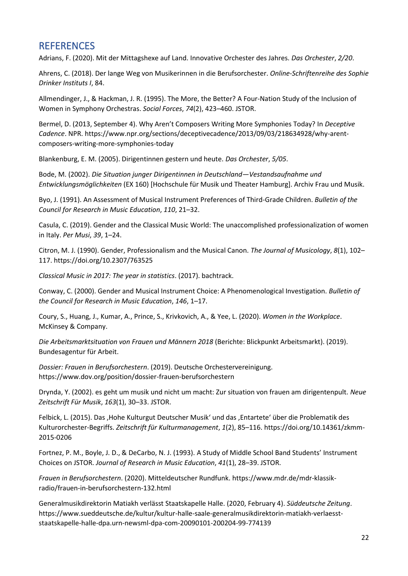### <span id="page-21-0"></span>**REFERENCES**

Adrians, F. (2020). Mit der Mittagshexe auf Land. Innovative Orchester des Jahres. *Das Orchester*, *2/20*.

Ahrens, C. (2018). Der lange Weg von Musikerinnen in die Berufsorchester. *Online-Schriftenreihe des Sophie Drinker Instituts I*, 84.

Allmendinger, J., & Hackman, J. R. (1995). The More, the Better? A Four-Nation Study of the Inclusion of Women in Symphony Orchestras. *Social Forces*, *74*(2), 423–460. JSTOR.

Bermel, D. (2013, September 4). Why Aren't Composers Writing More Symphonies Today? In *Deceptive Cadence*. NPR. https://www.npr.org/sections/deceptivecadence/2013/09/03/218634928/why-arentcomposers-writing-more-symphonies-today

Blankenburg, E. M. (2005). Dirigentinnen gestern und heute. *Das Orchester*, *5/05*.

Bode, M. (2002). *Die Situation junger Dirigentinnen in Deutschland—Vestandsaufnahme und Entwicklungsmöglichkeiten* (EX 160) [Hochschule für Musik und Theater Hamburg]. Archiv Frau und Musik.

Byo, J. (1991). An Assessment of Musical Instrument Preferences of Third-Grade Children. *Bulletin of the Council for Research in Music Education*, *110*, 21–32.

Casula, C. (2019). Gender and the Classical Music World: The unaccomplished professionalization of women in Italy. *Per Musi*, *39*, 1–24.

Citron, M. J. (1990). Gender, Professionalism and the Musical Canon. *The Journal of Musicology*, *8*(1), 102– 117. https://doi.org/10.2307/763525

*Classical Music in 2017: The year in statistics*. (2017). bachtrack.

Conway, C. (2000). Gender and Musical Instrument Choice: A Phenomenological Investigation. *Bulletin of the Council for Research in Music Education*, *146*, 1–17.

Coury, S., Huang, J., Kumar, A., Prince, S., Krivkovich, A., & Yee, L. (2020). *Women in the Workplace*. McKinsey & Company.

*Die Arbeitsmarktsituation von Frauen und Männern 2018* (Berichte: Blickpunkt Arbeitsmarkt). (2019). Bundesagentur für Arbeit.

*Dossier: Frauen in Berufsorchestern*. (2019). Deutsche Orchestervereinigung. https://www.dov.org/position/dossier-frauen-berufsorchestern

Drynda, Y. (2002). es geht um musik und nicht um macht: Zur situation von frauen am dirigentenpult. *Neue Zeitschrift Für Musik*, *163*(1), 30–33. JSTOR.

Felbick, L. (2015). Das , Hohe Kulturgut Deutscher Musik' und das , Entartete' über die Problematik des Kulturorchester-Begriffs. *Zeitschrift für Kulturmanagement*, *1*(2), 85–116. https://doi.org/10.14361/zkmm-2015-0206

Fortnez, P. M., Boyle, J. D., & DeCarbo, N. J. (1993). A Study of Middle School Band Students' Instrument Choices on JSTOR. *Journal of Research in Music Education*, *41*(1), 28–39. JSTOR.

*Frauen in Berufsorchestern*. (2020). Mitteldeutscher Rundfunk. https://www.mdr.de/mdr-klassikradio/frauen-in-berufsorchestern-132.html

Generalmusikdirektorin Matiakh verlässt Staatskapelle Halle. (2020, February 4). *Süddeutsche Zeitung*. https://www.sueddeutsche.de/kultur/kultur-halle-saale-generalmusikdirektorin-matiakh-verlaesststaatskapelle-halle-dpa.urn-newsml-dpa-com-20090101-200204-99-774139